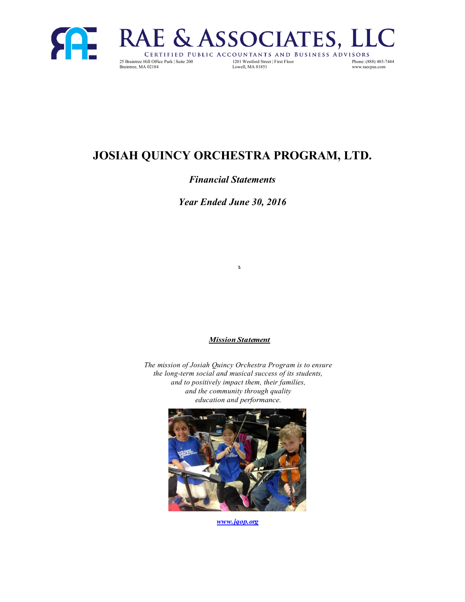

### *Financial Statements*

*Year Ended June 30, 2016*

#### **Mission Statement**

*.*

*The mission of Josiah Quincy Orchestra Program is to ensure the long-term social and musical success of its students, and to positively impact them, their families, and the community through quality education and performance.*



*[www.jqop.org](http://www.jqop.org/)*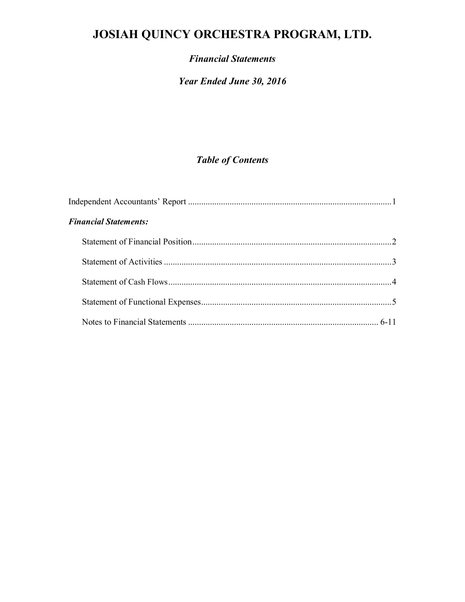### *Financial Statements*

# *Year Ended June 30, 2016*

## *Table of Contents*

| <b>Financial Statements:</b> |  |  |  |  |  |
|------------------------------|--|--|--|--|--|
|                              |  |  |  |  |  |
|                              |  |  |  |  |  |
|                              |  |  |  |  |  |
|                              |  |  |  |  |  |
|                              |  |  |  |  |  |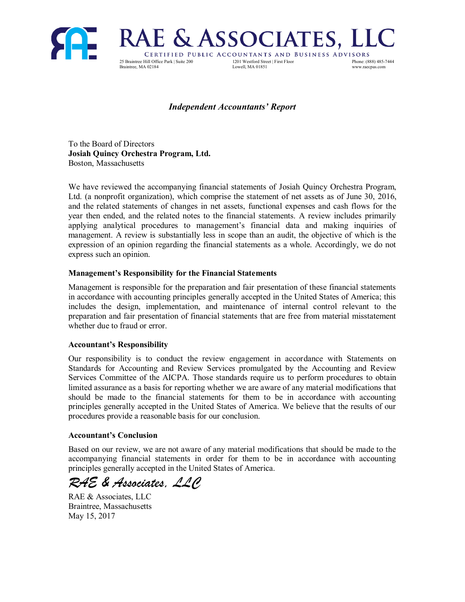

### *Independent Accountants' Report*

To the Board of Directors **Josiah Quincy Orchestra Program, Ltd.** Boston, Massachusetts

We have reviewed the accompanying financial statements of Josiah Quincy Orchestra Program, Ltd. (a nonprofit organization), which comprise the statement of net assets as of June 30, 2016, and the related statements of changes in net assets, functional expenses and cash flows for the year then ended, and the related notes to the financial statements. A review includes primarily applying analytical procedures to management's financial data and making inquiries of management. A review is substantially less in scope than an audit, the objective of which is the expression of an opinion regarding the financial statements as a whole. Accordingly, we do not express such an opinion.

#### **Management's Responsibility for the Financial Statements**

Management is responsible for the preparation and fair presentation of these financial statements in accordance with accounting principles generally accepted in the United States of America; this includes the design, implementation, and maintenance of internal control relevant to the preparation and fair presentation of financial statements that are free from material misstatement whether due to fraud or error.

#### **Accountant's Responsibility**

Our responsibility is to conduct the review engagement in accordance with Statements on Standards for Accounting and Review Services promulgated by the Accounting and Review Services Committee of the AICPA. Those standards require us to perform procedures to obtain limited assurance as a basis for reporting whether we are aware of any material modifications that should be made to the financial statements for them to be in accordance with accounting principles generally accepted in the United States of America. We believe that the results of our procedures provide a reasonable basis for our conclusion.

#### **Accountant's Conclusion**

Based on our review, we are not aware of any material modifications that should be made to the accompanying financial statements in order for them to be in accordance with accounting principles generally accepted in the United States of America.

*RAE & Associates, LLC*

RAE & Associates, LLC Braintree, Massachusetts May 15, 2017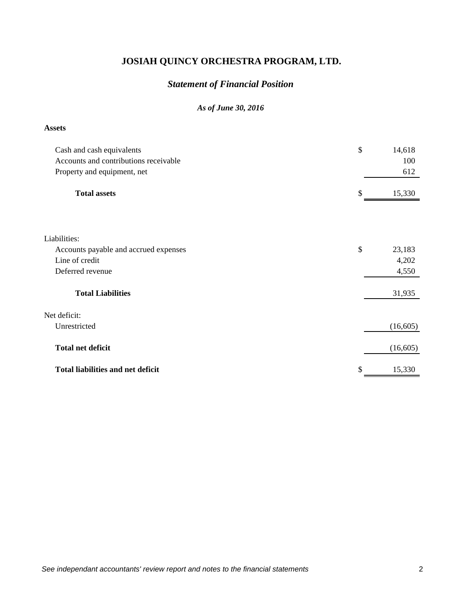### *Statement of Financial Position*

### *As of June 30, 2016*

#### **Assets**

| Cash and cash equivalents                | \$<br>14,618 |
|------------------------------------------|--------------|
| Accounts and contributions receivable    | 100          |
| Property and equipment, net              | 612          |
| <b>Total assets</b>                      | \$<br>15,330 |
|                                          |              |
| Liabilities:                             |              |
| Accounts payable and accrued expenses    | \$<br>23,183 |
| Line of credit                           | 4,202        |
| Deferred revenue                         | 4,550        |
| <b>Total Liabilities</b>                 | 31,935       |
| Net deficit:                             |              |
| Unrestricted                             | (16,605)     |
| <b>Total net deficit</b>                 | (16,605)     |
| <b>Total liabilities and net deficit</b> | \$<br>15,330 |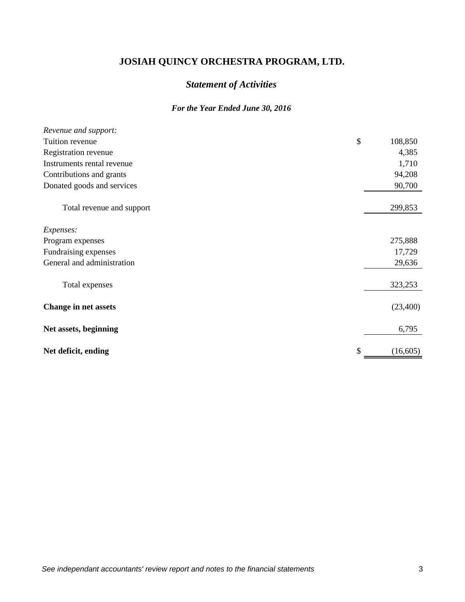### *Statement of Activities*

### *For the Year Ended June 30, 2016*

| Revenue and support:        |                |
|-----------------------------|----------------|
| Tuition revenue             | \$<br>108,850  |
| <b>Registration revenue</b> | 4,385          |
| Instruments rental revenue  | 1,710          |
| Contributions and grants    | 94,208         |
| Donated goods and services  | 90,700         |
|                             |                |
| Total revenue and support   | 299,853        |
| Expenses:                   |                |
| Program expenses            | 275,888        |
| Fundraising expenses        | 17,729         |
| General and administration  | 29,636         |
| Total expenses              | 323,253        |
| <b>Change in net assets</b> | (23,400)       |
| Net assets, beginning       | 6,795          |
| Net deficit, ending         | \$<br>(16,605) |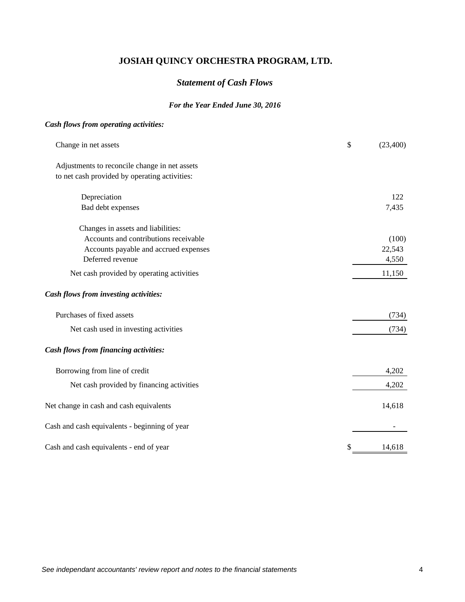### *Statement of Cash Flows*

#### *For the Year Ended June 30, 2016*

### *Cash flows from operating activities:*

| Change in net assets                          | \$<br>(23,400) |
|-----------------------------------------------|----------------|
| Adjustments to reconcile change in net assets |                |
| to net cash provided by operating activities: |                |
| Depreciation                                  | 122            |
| Bad debt expenses                             | 7,435          |
| Changes in assets and liabilities:            |                |
| Accounts and contributions receivable         | (100)          |
| Accounts payable and accrued expenses         | 22,543         |
| Deferred revenue                              | 4,550          |
| Net cash provided by operating activities     | 11,150         |
| <b>Cash flows from investing activities:</b>  |                |
| Purchases of fixed assets                     | (734)          |
| Net cash used in investing activities         | (734)          |
| <b>Cash flows from financing activities:</b>  |                |
| Borrowing from line of credit                 | 4,202          |
| Net cash provided by financing activities     | 4,202          |
| Net change in cash and cash equivalents       | 14,618         |
| Cash and cash equivalents - beginning of year |                |
| Cash and cash equivalents - end of year       | \$<br>14,618   |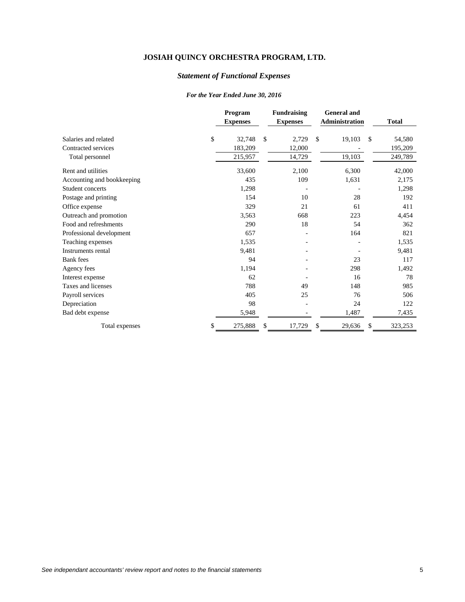### *Statement of Functional Expenses*

#### *For the Year Ended June 30, 2016*

|                            |               | Program<br><b>Expenses</b> | <b>Fundraising</b><br><b>Expenses</b> | <b>General</b> and<br>Administration | <b>Total</b>  |
|----------------------------|---------------|----------------------------|---------------------------------------|--------------------------------------|---------------|
| Salaries and related       | $\mathcal{S}$ | 32,748                     | \$<br>2,729                           | \$<br>19,103                         | \$<br>54,580  |
| Contracted services        |               | 183,209                    | 12,000                                |                                      | 195,209       |
| Total personnel            |               | 215,957                    | 14,729                                | 19,103                               | 249,789       |
|                            |               |                            |                                       |                                      |               |
| Rent and utilities         |               | 33,600                     | 2,100                                 | 6,300                                | 42,000        |
| Accounting and bookkeeping |               | 435                        | 109                                   | 1,631                                | 2,175         |
| Student concerts           |               | 1,298                      |                                       |                                      | 1,298         |
| Postage and printing       |               | 154                        | 10                                    | 28                                   | 192           |
| Office expense             |               | 329                        | 21                                    | 61                                   | 411           |
| Outreach and promotion     |               | 3,563                      | 668                                   | 223                                  | 4,454         |
| Food and refreshments      |               | 290                        | 18                                    | 54                                   | 362           |
| Professional development   |               | 657                        |                                       | 164                                  | 821           |
| Teaching expenses          |               | 1,535                      |                                       |                                      | 1,535         |
| Instruments rental         |               | 9,481                      |                                       |                                      | 9,481         |
| <b>Bank</b> fees           |               | 94                         |                                       | 23                                   | 117           |
| Agency fees                |               | 1,194                      |                                       | 298                                  | 1,492         |
| Interest expense           |               | 62                         |                                       | 16                                   | 78            |
| Taxes and licenses         |               | 788                        | 49                                    | 148                                  | 985           |
| Payroll services           |               | 405                        | 25                                    | 76                                   | 506           |
| Depreciation               |               | 98                         |                                       | 24                                   | 122           |
| Bad debt expense           |               | 5,948                      |                                       | 1,487                                | 7,435         |
| Total expenses             | \$            | 275,888                    | \$<br>17,729                          | \$<br>29,636                         | \$<br>323,253 |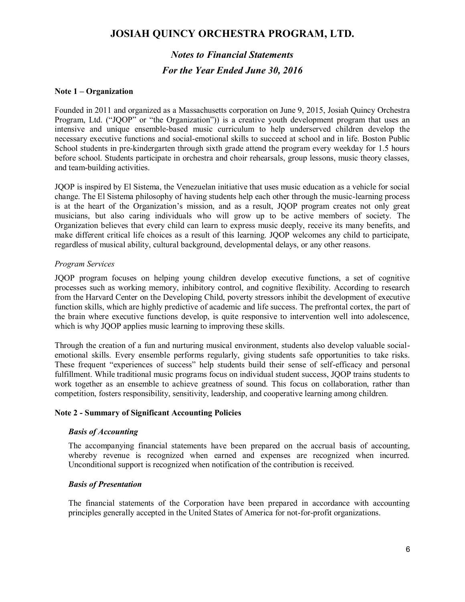# *Notes to Financial Statements For the Year Ended June 30, 2016*

#### **Note 1 – Organization**

Founded in 2011 and organized as a Massachusetts corporation on June 9, 2015, Josiah Quincy Orchestra Program, Ltd. ("JQOP" or "the Organization")) is a creative youth development program that uses an intensive and unique ensemble-based music curriculum to help underserved children develop the necessary executive functions and social-emotional skills to succeed at school and in life. Boston Public School students in pre-kindergarten through sixth grade attend the program every weekday for 1.5 hours before school. Students participate in orchestra and choir rehearsals, group lessons, music theory classes, and team-building activities.

JQOP is inspired by El Sistema, the Venezuelan initiative that uses music education as a vehicle for social change. The El Sistema philosophy of having students help each other through the music-learning process is at the heart of the Organization's mission, and as a result, JQOP program creates not only great musicians, but also caring individuals who will grow up to be active members of society. The Organization believes that every child can learn to express music deeply, receive its many benefits, and make different critical life choices as a result of this learning. JQOP welcomes any child to participate, regardless of musical ability, cultural background, developmental delays, or any other reasons.

#### *Program Services*

JQOP program focuses on helping young children develop executive functions, a set of cognitive processes such as working memory, inhibitory control, and cognitive flexibility. According to research from the Harvard Center on the Developing Child, poverty stressors inhibit the development of executive function skills, which are highly predictive of academic and life success. The prefrontal cortex, the part of the brain where executive functions develop, is quite responsive to intervention well into adolescence, which is why JQOP applies music learning to improving these skills.

Through the creation of a fun and nurturing musical environment, students also develop valuable socialemotional skills. Every ensemble performs regularly, giving students safe opportunities to take risks. These frequent "experiences of success" help students build their sense of self-efficacy and personal fulfillment. While traditional music programs focus on individual student success, JQOP trains students to work together as an ensemble to achieve greatness of sound. This focus on collaboration, rather than competition, fosters responsibility, sensitivity, leadership, and cooperative learning among children.

#### **Note 2 - Summary of Significant Accounting Policies**

#### *Basis of Accounting*

The accompanying financial statements have been prepared on the accrual basis of accounting, whereby revenue is recognized when earned and expenses are recognized when incurred. Unconditional support is recognized when notification of the contribution is received.

#### *Basis of Presentation*

The financial statements of the Corporation have been prepared in accordance with accounting principles generally accepted in the United States of America for not-for-profit organizations.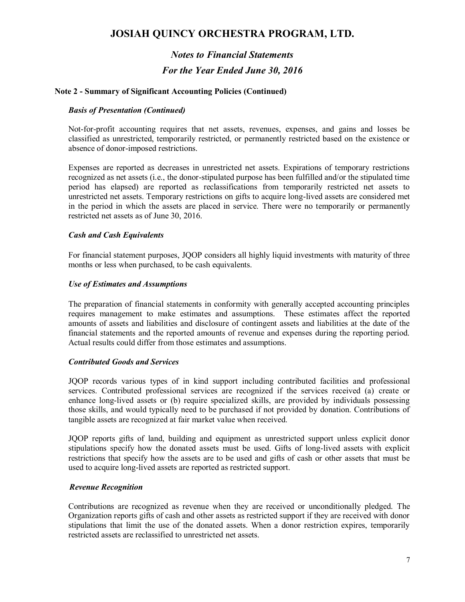# *Notes to Financial Statements For the Year Ended June 30, 2016*

#### **Note 2 - Summary of Significant Accounting Policies (Continued)**

#### *Basis of Presentation (Continued)*

Not-for-profit accounting requires that net assets, revenues, expenses, and gains and losses be classified as unrestricted, temporarily restricted, or permanently restricted based on the existence or absence of donor-imposed restrictions.

Expenses are reported as decreases in unrestricted net assets. Expirations of temporary restrictions recognized as net assets (i.e., the donor-stipulated purpose has been fulfilled and/or the stipulated time period has elapsed) are reported as reclassifications from temporarily restricted net assets to unrestricted net assets. Temporary restrictions on gifts to acquire long-lived assets are considered met in the period in which the assets are placed in service. There were no temporarily or permanently restricted net assets as of June 30, 2016.

#### *Cash and Cash Equivalents*

For financial statement purposes, JQOP considers all highly liquid investments with maturity of three months or less when purchased, to be cash equivalents.

#### *Use of Estimates and Assumptions*

The preparation of financial statements in conformity with generally accepted accounting principles requires management to make estimates and assumptions. These estimates affect the reported amounts of assets and liabilities and disclosure of contingent assets and liabilities at the date of the financial statements and the reported amounts of revenue and expenses during the reporting period. Actual results could differ from those estimates and assumptions.

#### *Contributed Goods and Services*

JQOP records various types of in kind support including contributed facilities and professional services. Contributed professional services are recognized if the services received (a) create or enhance long-lived assets or (b) require specialized skills, are provided by individuals possessing those skills, and would typically need to be purchased if not provided by donation. Contributions of tangible assets are recognized at fair market value when received.

JQOP reports gifts of land, building and equipment as unrestricted support unless explicit donor stipulations specify how the donated assets must be used. Gifts of long-lived assets with explicit restrictions that specify how the assets are to be used and gifts of cash or other assets that must be used to acquire long-lived assets are reported as restricted support.

#### *Revenue Recognition*

Contributions are recognized as revenue when they are received or unconditionally pledged. The Organization reports gifts of cash and other assets as restricted support if they are received with donor stipulations that limit the use of the donated assets. When a donor restriction expires, temporarily restricted assets are reclassified to unrestricted net assets.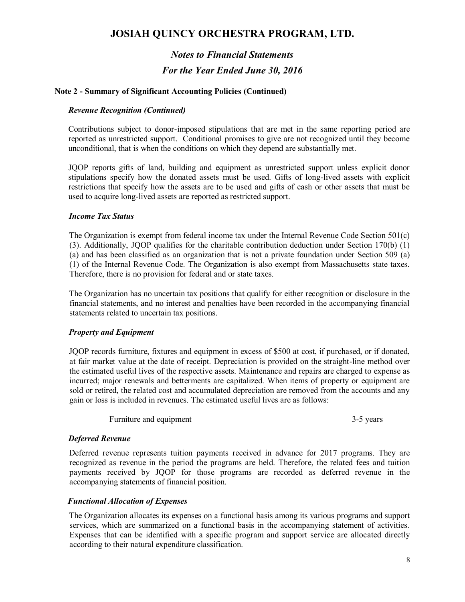# *Notes to Financial Statements For the Year Ended June 30, 2016*

#### **Note 2 - Summary of Significant Accounting Policies (Continued)**

#### *Revenue Recognition (Continued)*

Contributions subject to donor-imposed stipulations that are met in the same reporting period are reported as unrestricted support. Conditional promises to give are not recognized until they become unconditional, that is when the conditions on which they depend are substantially met.

JQOP reports gifts of land, building and equipment as unrestricted support unless explicit donor stipulations specify how the donated assets must be used. Gifts of long-lived assets with explicit restrictions that specify how the assets are to be used and gifts of cash or other assets that must be used to acquire long-lived assets are reported as restricted support.

#### *Income Tax Status*

The Organization is exempt from federal income tax under the Internal Revenue Code Section 501(c) (3). Additionally, JQOP qualifies for the charitable contribution deduction under Section 170(b) (1) (a) and has been classified as an organization that is not a private foundation under Section 509 (a) (1) of the Internal Revenue Code. The Organization is also exempt from Massachusetts state taxes. Therefore, there is no provision for federal and or state taxes.

The Organization has no uncertain tax positions that qualify for either recognition or disclosure in the financial statements, and no interest and penalties have been recorded in the accompanying financial statements related to uncertain tax positions.

#### *Property and Equipment*

JQOP records furniture, fixtures and equipment in excess of \$500 at cost, if purchased, or if donated, at fair market value at the date of receipt. Depreciation is provided on the straight-line method over the estimated useful lives of the respective assets. Maintenance and repairs are charged to expense as incurred; major renewals and betterments are capitalized. When items of property or equipment are sold or retired, the related cost and accumulated depreciation are removed from the accounts and any gain or loss is included in revenues. The estimated useful lives are as follows:

Furniture and equipment 3-5 years 3-5 years

#### *Deferred Revenue*

Deferred revenue represents tuition payments received in advance for 2017 programs. They are recognized as revenue in the period the programs are held. Therefore, the related fees and tuition payments received by JQOP for those programs are recorded as deferred revenue in the accompanying statements of financial position.

#### *Functional Allocation of Expenses*

The Organization allocates its expenses on a functional basis among its various programs and support services, which are summarized on a functional basis in the accompanying statement of activities. Expenses that can be identified with a specific program and support service are allocated directly according to their natural expenditure classification.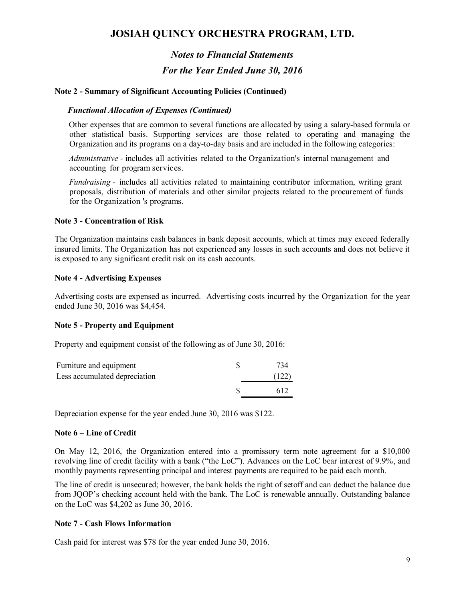# *Notes to Financial Statements For the Year Ended June 30, 2016*

#### **Note 2 - Summary of Significant Accounting Policies (Continued)**

#### *Functional Allocation of Expenses (Continued)*

Other expenses that are common to several functions are allocated by using a salary-based formula or other statistical basis. Supporting services are those related to operating and managing the Organization and its programs on a day-to-day basis and are included in the following categories:

*Administrative -* includes all activities related to the Organization's internal management and accounting for program services.

*Fundraising -* includes all activities related to maintaining contributor information, writing grant proposals, distribution of materials and other similar projects related to the procurement of funds for the Organization 's programs.

#### **Note 3 - Concentration of Risk**

The Organization maintains cash balances in bank deposit accounts, which at times may exceed federally insured limits. The Organization has not experienced any losses in such accounts and does not believe it is exposed to any significant credit risk on its cash accounts.

#### **Note 4 - Advertising Expenses**

Advertising costs are expensed as incurred. Advertising costs incurred by the Organization for the year ended June 30, 2016 was \$4,454.

#### **Note 5 - Property and Equipment**

Property and equipment consist of the following as of June 30, 2016:

| Furniture and equipment       | 734 |
|-------------------------------|-----|
| Less accumulated depreciation |     |
|                               | 612 |

Depreciation expense for the year ended June 30, 2016 was \$122.

#### **Note 6 – Line of Credit**

On May 12, 2016, the Organization entered into a promissory term note agreement for a \$10,000 revolving line of credit facility with a bank ("the LoC"). Advances on the LoC bear interest of 9.9%, and monthly payments representing principal and interest payments are required to be paid each month.

The line of credit is unsecured; however, the bank holds the right of setoff and can deduct the balance due from JQOP's checking account held with the bank. The LoC is renewable annually. Outstanding balance on the LoC was \$4,202 as June 30, 2016.

#### **Note 7 - Cash Flows Information**

Cash paid for interest was \$78 for the year ended June 30, 2016.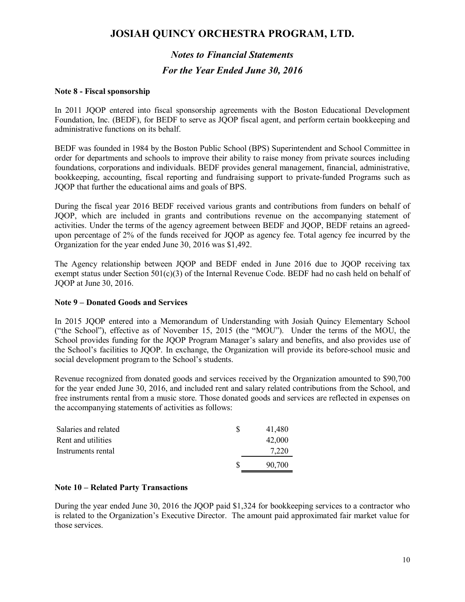# *Notes to Financial Statements For the Year Ended June 30, 2016*

#### **Note 8 - Fiscal sponsorship**

In 2011 JQOP entered into fiscal sponsorship agreements with the Boston Educational Development Foundation, Inc. (BEDF), for BEDF to serve as JQOP fiscal agent, and perform certain bookkeeping and administrative functions on its behalf.

BEDF was founded in 1984 by the Boston Public School (BPS) Superintendent and School Committee in order for departments and schools to improve their ability to raise money from private sources including foundations, corporations and individuals. BEDF provides general management, financial, administrative, bookkeeping, accounting, fiscal reporting and fundraising support to private-funded Programs such as JQOP that further the educational aims and goals of BPS.

During the fiscal year 2016 BEDF received various grants and contributions from funders on behalf of JQOP, which are included in grants and contributions revenue on the accompanying statement of activities. Under the terms of the agency agreement between BEDF and JQOP, BEDF retains an agreedupon percentage of 2% of the funds received for JQOP as agency fee. Total agency fee incurred by the Organization for the year ended June 30, 2016 was \$1,492.

The Agency relationship between JQOP and BEDF ended in June 2016 due to JQOP receiving tax exempt status under Section 501(c)(3) of the Internal Revenue Code. BEDF had no cash held on behalf of JQOP at June 30, 2016.

#### **Note 9 – Donated Goods and Services**

In 2015 JQOP entered into a Memorandum of Understanding with Josiah Quincy Elementary School ("the School"), effective as of November 15, 2015 (the "MOU"). Under the terms of the MOU, the School provides funding for the JQOP Program Manager's salary and benefits, and also provides use of the School's facilities to JQOP. In exchange, the Organization will provide its before-school music and social development program to the School's students.

Revenue recognized from donated goods and services received by the Organization amounted to \$90,700 for the year ended June 30, 2016, and included rent and salary related contributions from the School, and free instruments rental from a music store. Those donated goods and services are reflected in expenses on the accompanying statements of activities as follows:

| Salaries and related | 41.480 |
|----------------------|--------|
| Rent and utilities   | 42,000 |
| Instruments rental   | 7.220  |
|                      | 90,700 |

#### **Note 10 – Related Party Transactions**

During the year ended June 30, 2016 the JQOP paid \$1,324 for bookkeeping services to a contractor who is related to the Organization's Executive Director. The amount paid approximated fair market value for those services.